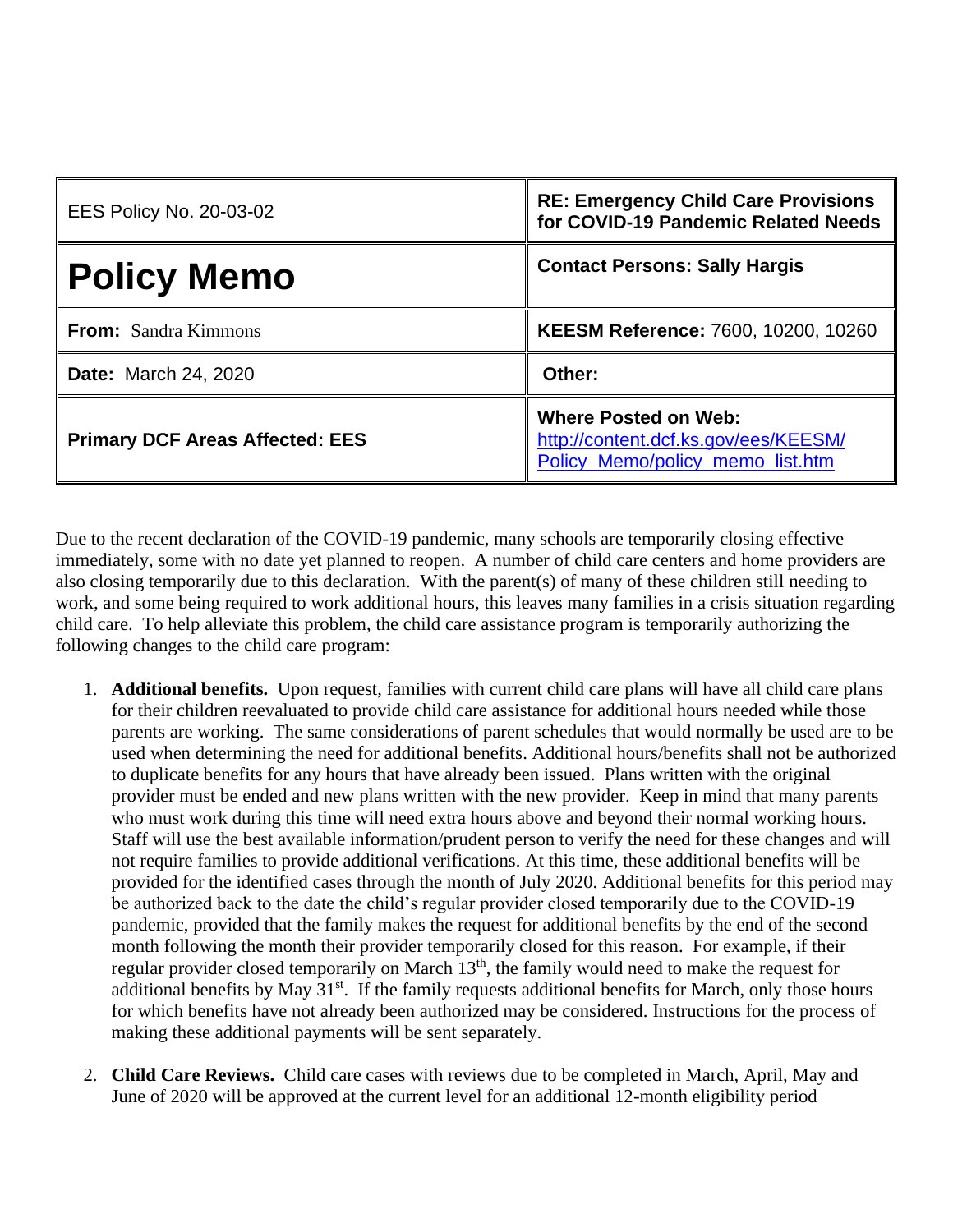| <b>EES Policy No. 20-03-02</b>         | <b>RE: Emergency Child Care Provisions</b><br>for COVID-19 Pandemic Related Needs                       |
|----------------------------------------|---------------------------------------------------------------------------------------------------------|
| <b>Policy Memo</b>                     | <b>Contact Persons: Sally Hargis</b>                                                                    |
| <b>From:</b> Sandra Kimmons            | KEESM Reference: 7600, 10200, 10260                                                                     |
| <b>Date:</b> March 24, 2020            | Other:                                                                                                  |
| <b>Primary DCF Areas Affected: EES</b> | <b>Where Posted on Web:</b><br>http://content.dcf.ks.gov/ees/KEESM/<br>Policy Memo/policy memo list.htm |

Due to the recent declaration of the COVID-19 pandemic, many schools are temporarily closing effective immediately, some with no date yet planned to reopen. A number of child care centers and home providers are also closing temporarily due to this declaration. With the parent(s) of many of these children still needing to work, and some being required to work additional hours, this leaves many families in a crisis situation regarding child care. To help alleviate this problem, the child care assistance program is temporarily authorizing the following changes to the child care program:

- 1. **Additional benefits.** Upon request, families with current child care plans will have all child care plans for their children reevaluated to provide child care assistance for additional hours needed while those parents are working. The same considerations of parent schedules that would normally be used are to be used when determining the need for additional benefits. Additional hours/benefits shall not be authorized to duplicate benefits for any hours that have already been issued. Plans written with the original provider must be ended and new plans written with the new provider. Keep in mind that many parents who must work during this time will need extra hours above and beyond their normal working hours. Staff will use the best available information/prudent person to verify the need for these changes and will not require families to provide additional verifications. At this time, these additional benefits will be provided for the identified cases through the month of July 2020. Additional benefits for this period may be authorized back to the date the child's regular provider closed temporarily due to the COVID-19 pandemic, provided that the family makes the request for additional benefits by the end of the second month following the month their provider temporarily closed for this reason. For example, if their regular provider closed temporarily on March 13<sup>th</sup>, the family would need to make the request for additional benefits by May 31<sup>st</sup>. If the family requests additional benefits for March, only those hours for which benefits have not already been authorized may be considered. Instructions for the process of making these additional payments will be sent separately.
- 2. **Child Care Reviews.** Child care cases with reviews due to be completed in March, April, May and June of 2020 will be approved at the current level for an additional 12-month eligibility period